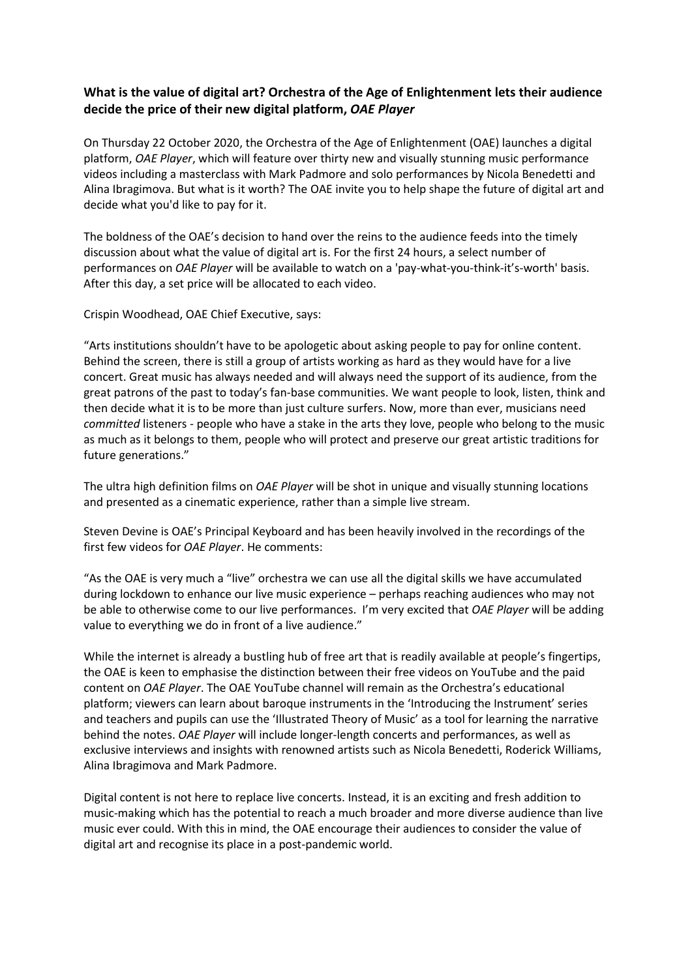## **What is the value of digital art? Orchestra of the Age of Enlightenment lets their audience decide the price of their new digital platform,** *OAE Player*

On Thursday 22 October 2020, the Orchestra of the Age of Enlightenment (OAE) launches a digital platform, *OAE Player*, which will feature over thirty new and visually stunning music performance videos including a masterclass with Mark Padmore and solo performances by Nicola Benedetti and Alina Ibragimova. But what is it worth? The OAE invite you to help shape the future of digital art and decide what you'd like to pay for it.

The boldness of the OAE's decision to hand over the reins to the audience feeds into the timely discussion about what the value of digital art is. For the first 24 hours, a select number of performances on *OAE Player* will be available to watch on a 'pay-what-you-think-it's-worth' basis. After this day, a set price will be allocated to each video.

Crispin Woodhead, OAE Chief Executive, says:

"Arts institutions shouldn't have to be apologetic about asking people to pay for online content. Behind the screen, there is still a group of artists working as hard as they would have for a live concert. Great music has always needed and will always need the support of its audience, from the great patrons of the past to today's fan-base communities. We want people to look, listen, think and then decide what it is to be more than just culture surfers. Now, more than ever, musicians need *committed* listeners - people who have a stake in the arts they love, people who belong to the music as much as it belongs to them, people who will protect and preserve our great artistic traditions for future generations."

The ultra high definition films on *OAE Player* will be shot in unique and visually stunning locations and presented as a cinematic experience, rather than a simple live stream.

Steven Devine is OAE's Principal Keyboard and has been heavily involved in the recordings of the first few videos for *OAE Player*. He comments:

"As the OAE is very much a "live" orchestra we can use all the digital skills we have accumulated during lockdown to enhance our live music experience – perhaps reaching audiences who may not be able to otherwise come to our live performances. I'm very excited that *OAE Player* will be adding value to everything we do in front of a live audience."

While the internet is already a bustling hub of free art that is readily available at people's fingertips, the OAE is keen to emphasise the distinction between their free videos on YouTube and the paid content on *OAE Player*. The OAE YouTube channel will remain as the Orchestra's educational platform; viewers can learn about baroque instruments in the 'Introducing the Instrument' series and teachers and pupils can use the 'Illustrated Theory of Music' as a tool for learning the narrative behind the notes. *OAE Player* will include longer-length concerts and performances, as well as exclusive interviews and insights with renowned artists such as Nicola Benedetti, Roderick Williams, Alina Ibragimova and Mark Padmore.

Digital content is not here to replace live concerts. Instead, it is an exciting and fresh addition to music-making which has the potential to reach a much broader and more diverse audience than live music ever could. With this in mind, the OAE encourage their audiences to consider the value of digital art and recognise its place in a post-pandemic world.